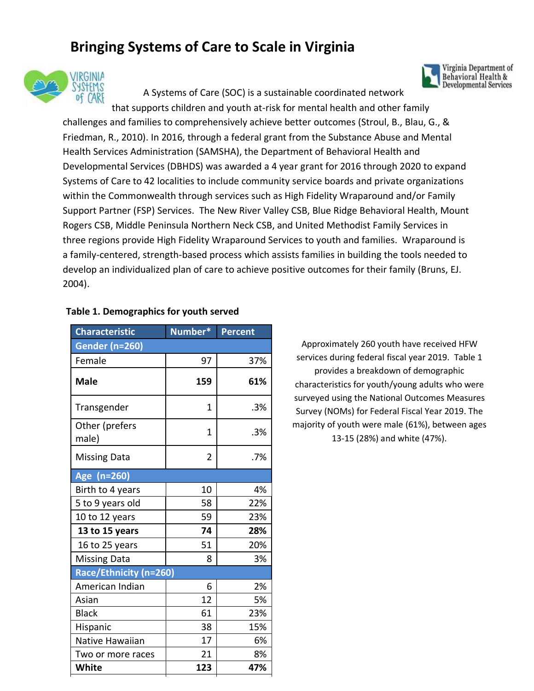# **Bringing Systems of Care to Scale in Virginia**



A Systems of Care (SOC) is a sustainable coordinated network

that supports children and youth at-risk for mental health and other family challenges and families to comprehensively achieve better outcomes (Stroul, B., Blau, G., & Friedman, R., 2010). In 2016, through a federal grant from the Substance Abuse and Mental Health Services Administration (SAMSHA), the Department of Behavioral Health and Developmental Services (DBHDS) was awarded a 4 year grant for 2016 through 2020 to expand Systems of Care to 42 localities to include community service boards and private organizations within the Commonwealth through services such as High Fidelity Wraparound and/or Family Support Partner (FSP) Services. The New River Valley CSB, Blue Ridge Behavioral Health, Mount Rogers CSB, Middle Peninsula Northern Neck CSB, and United Methodist Family Services in three regions provide High Fidelity Wraparound Services to youth and families. Wraparound is a family-centered, strength-based process which assists families in building the tools needed to develop an individualized plan of care to achieve positive outcomes for their family (Bruns, EJ. 2004).

| <b>Characteristic</b>   | Number* | <b>Percent</b> |  |
|-------------------------|---------|----------------|--|
| <b>Gender (n=260)</b>   |         |                |  |
| Female                  | 97      | 37%            |  |
| <b>Male</b>             | 159     | 61%            |  |
| Transgender             | 1       | .3%            |  |
| Other (prefers<br>male) | 1       | .3%            |  |
| <b>Missing Data</b>     | 2       | .7%            |  |
| Age (n=260)             |         |                |  |
| Birth to 4 years        | 10      | 4%             |  |
| 5 to 9 years old        | 58      | 22%            |  |
| 10 to 12 years          | 59      | 23%            |  |
| 13 to 15 years          | 74      | 28%            |  |
| 16 to 25 years          | 51      | 20%            |  |
| <b>Missing Data</b>     | 8       | 3%             |  |
| Race/Ethnicity (n=260)  |         |                |  |
| American Indian         | 6       | 2%             |  |
| Asian                   | 12      | 5%             |  |
| <b>Black</b>            | 61      | 23%            |  |
| Hispanic                | 38      | 15%            |  |
| Native Hawaiian         | 17      | 6%             |  |
| Two or more races       | 21      | 8%             |  |
| <b>White</b>            | 123     | 47%            |  |

### **Table 1. Demographics for youth served**

Approximately 260 youth have received HFW services during federal fiscal year 2019. Table 1 provides a breakdown of demographic characteristics for youth/young adults who were surveyed using the National Outcomes Measures Survey (NOMs) for Federal Fiscal Year 2019. The majority of youth were male (61%), between ages 13-15 (28%) and white (47%).

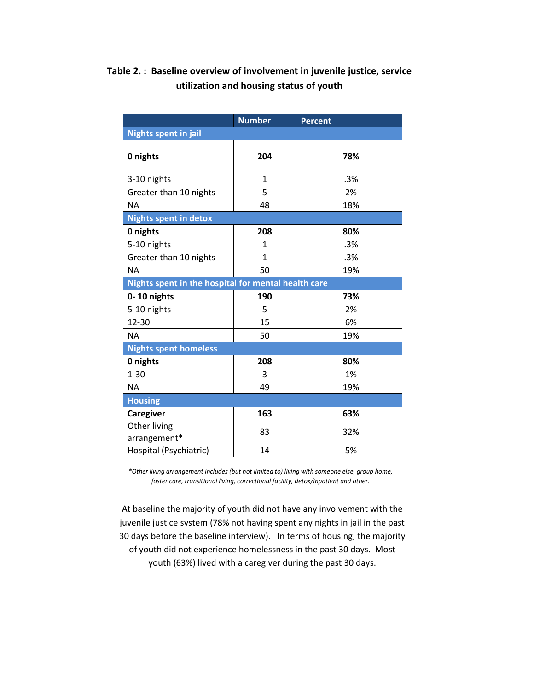## **Table 2. : Baseline overview of involvement in juvenile justice, service utilization and housing status of youth**

|                                                     | <b>Number</b> | <b>Percent</b> |  |
|-----------------------------------------------------|---------------|----------------|--|
| <b>Nights spent in jail</b>                         |               |                |  |
| 0 nights                                            | 204           | 78%            |  |
| 3-10 nights                                         | $\mathbf{1}$  | .3%            |  |
| Greater than 10 nights                              | 5             | 2%             |  |
| <b>NA</b>                                           | 48            | 18%            |  |
| <b>Nights spent in detox</b>                        |               |                |  |
| 0 nights                                            | 208           | 80%            |  |
| 5-10 nights                                         | $\mathbf{1}$  | .3%            |  |
| Greater than 10 nights                              | $\mathbf{1}$  | .3%            |  |
| <b>NA</b>                                           | 50            | 19%            |  |
| Nights spent in the hospital for mental health care |               |                |  |
| 0-10 nights                                         | 190           | 73%            |  |
| 5-10 nights                                         | 5             | 2%             |  |
| 12-30                                               | 15            | 6%             |  |
| <b>NA</b>                                           | 50            | 19%            |  |
| <b>Nights spent homeless</b>                        |               |                |  |
| 0 nights                                            | 208           | 80%            |  |
| $1 - 30$                                            | 3             | 1%             |  |
| <b>NA</b>                                           | 49            | 19%            |  |
| <b>Housing</b>                                      |               |                |  |
| Caregiver                                           | 163           | 63%            |  |
| Other living<br>arrangement*                        | 83            | 32%            |  |
| Hospital (Psychiatric)                              | 14            | 5%             |  |

*\*Other living arrangement includes (but not limited to) living with someone else, group home, foster care, transitional living, correctional facility, detox/inpatient and other.*

At baseline the majority of youth did not have any involvement with the juvenile justice system (78% not having spent any nights in jail in the past 30 days before the baseline interview). In terms of housing, the majority of youth did not experience homelessness in the past 30 days. Most youth (63%) lived with a caregiver during the past 30 days.